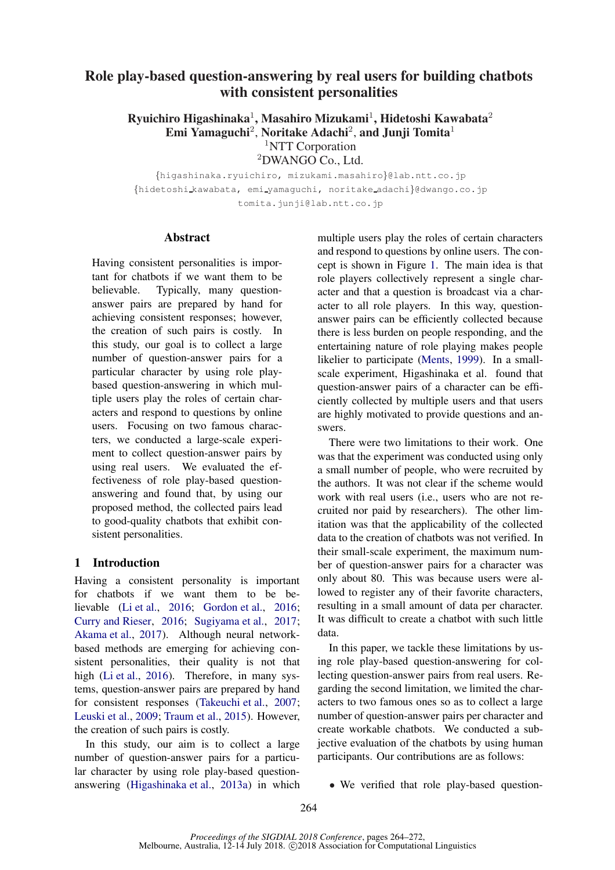# Role play-based question-answering by real users for building chatbots with consistent personalities

Ryuichiro Higashinaka<sup>1</sup>, Masahiro Mizukami<sup>1</sup>, Hidetoshi Kawabata<sup>2</sup> Emi Yamaguchi<sup>2</sup>, Noritake Adachi<sup>2</sup>, and Junji Tomita<sup>1</sup> <sup>1</sup>NTT Corporation <sup>2</sup>DWANGO Co., Ltd.

{higashinaka.ryuichiro, mizukami.masahiro}@lab.ntt.co.jp {hidetoshi kawabata, emi yamaguchi, noritake adachi}@dwango.co.jp tomita.junji@lab.ntt.co.jp

#### Abstract

Having consistent personalities is important for chatbots if we want them to be believable. Typically, many questionanswer pairs are prepared by hand for achieving consistent responses; however, the creation of such pairs is costly. In this study, our goal is to collect a large number of question-answer pairs for a particular character by using role playbased question-answering in which multiple users play the roles of certain characters and respond to questions by online users. Focusing on two famous characters, we conducted a large-scale experiment to collect question-answer pairs by using real users. We evaluated the effectiveness of role play-based questionanswering and found that, by using our proposed method, the collected pairs lead to good-quality chatbots that exhibit consistent personalities.

## 1 Introduction

Having a consistent personality is important for chatbots if we want them to be believable [\(Li et al.,](#page-8-0) [2016](#page-8-0); [Gordon et al.](#page-8-1), [2016](#page-8-1); [Curry and Rieser](#page-8-2), [2016](#page-8-2); [Sugiyama et al.,](#page-8-3) [2017](#page-8-3); [Akama et al.](#page-8-4), [2017\)](#page-8-4). Although neural networkbased methods are emerging for achieving consistent personalities, their quality is not that high [\(Li et al.,](#page-8-0) [2016\)](#page-8-0). Therefore, in many systems, question-answer pairs are prepared by hand for consistent responses [\(Takeuchi et al.](#page-8-5), [2007](#page-8-5); [Leuski et al.,](#page-8-6) [2009](#page-8-6); [Traum et al.](#page-8-7), [2015\)](#page-8-7). However, the creation of such pairs is costly.

In this study, our aim is to collect a large number of question-answer pairs for a particular character by using role play-based questionanswering [\(Higashinaka et al.,](#page-8-8) [2013a\)](#page-8-8) in which

multiple users play the roles of certain characters and respond to questions by online users. The concept is shown in Figure [1.](#page-1-0) The main idea is that role players collectively represent a single character and that a question is broadcast via a character to all role players. In this way, questionanswer pairs can be efficiently collected because there is less burden on people responding, and the entertaining nature of role playing makes people likelier to participate [\(Ments](#page-8-9), [1999](#page-8-9)). In a smallscale experiment, Higashinaka et al. found that question-answer pairs of a character can be efficiently collected by multiple users and that users are highly motivated to provide questions and answers.

There were two limitations to their work. One was that the experiment was conducted using only a small number of people, who were recruited by the authors. It was not clear if the scheme would work with real users (i.e., users who are not recruited nor paid by researchers). The other limitation was that the applicability of the collected data to the creation of chatbots was not verified. In their small-scale experiment, the maximum number of question-answer pairs for a character was only about 80. This was because users were allowed to register any of their favorite characters, resulting in a small amount of data per character. It was difficult to create a chatbot with such little data.

In this paper, we tackle these limitations by using role play-based question-answering for collecting question-answer pairs from real users. Regarding the second limitation, we limited the characters to two famous ones so as to collect a large number of question-answer pairs per character and create workable chatbots. We conducted a subjective evaluation of the chatbots by using human participants. Our contributions are as follows:

• We verified that role play-based question-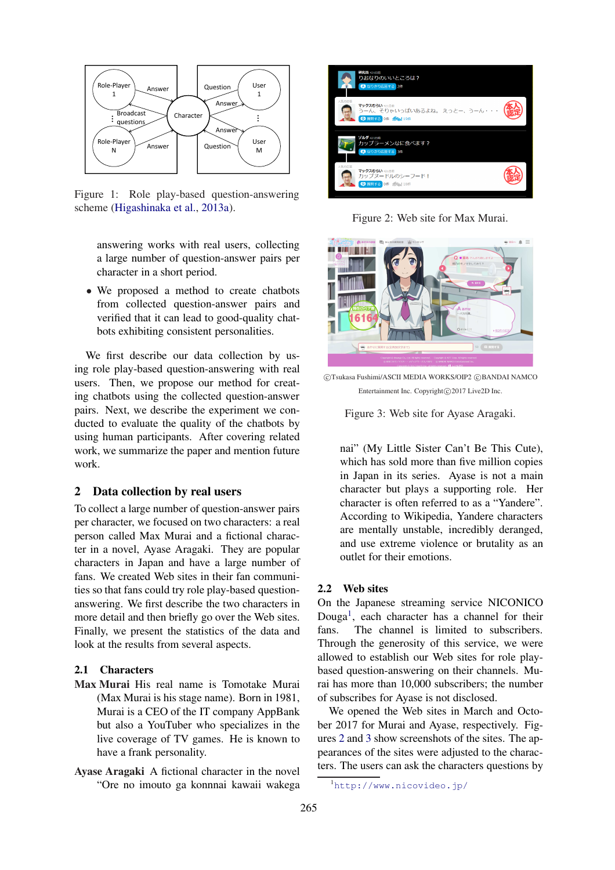

Figure 1: Role play-based question-answering scheme [\(Higashinaka et al.](#page-8-8), [2013a](#page-8-8)).

<span id="page-1-0"></span>answering works with real users, collecting a large number of question-answer pairs per character in a short period.

• We proposed a method to create chatbots from collected question-answer pairs and verified that it can lead to good-quality chatbots exhibiting consistent personalities.

We first describe our data collection by using role play-based question-answering with real users. Then, we propose our method for creating chatbots using the collected question-answer pairs. Next, we describe the experiment we conducted to evaluate the quality of the chatbots by using human participants. After covering related work, we summarize the paper and mention future work.

### 2 Data collection by real users

To collect a large number of question-answer pairs per character, we focused on two characters: a real person called Max Murai and a fictional character in a novel, Ayase Aragaki. They are popular characters in Japan and have a large number of fans. We created Web sites in their fan communities so that fans could try role play-based questionanswering. We first describe the two characters in more detail and then briefly go over the Web sites. Finally, we present the statistics of the data and look at the results from several aspects.

### 2.1 Characters

- Max Murai His real name is Tomotake Murai (Max Murai is his stage name). Born in 1981, Murai is a CEO of the IT company AppBank but also a YouTuber who specializes in the live coverage of TV games. He is known to have a frank personality.
- Ayase Aragaki A fictional character in the novel "Ore no imouto ga konnnai kawaii wakega



Figure 2: Web site for Max Murai.

<span id="page-1-2"></span>

CTsukasa Fushimi/ASCII MEDIA WORKS/OIP2 CBANDAI NAMCO Entertainment Inc. Copyright©2017 Live2D Inc.

<span id="page-1-3"></span>Figure 3: Web site for Ayase Aragaki.

nai" (My Little Sister Can't Be This Cute), which has sold more than five million copies in Japan in its series. Ayase is not a main character but plays a supporting role. Her character is often referred to as a "Yandere". According to Wikipedia, Yandere characters are mentally unstable, incredibly deranged, and use extreme violence or brutality as an outlet for their emotions.

#### <span id="page-1-4"></span>2.2 Web sites

On the Japanese streaming service NICONICO Douga<sup>[1](#page-1-1)</sup>, each character has a channel for their fans. The channel is limited to subscribers. Through the generosity of this service, we were allowed to establish our Web sites for role playbased question-answering on their channels. Murai has more than 10,000 subscribers; the number of subscribes for Ayase is not disclosed.

We opened the Web sites in March and October 2017 for Murai and Ayase, respectively. Figures [2](#page-1-2) and [3](#page-1-3) show screenshots of the sites. The appearances of the sites were adjusted to the characters. The users can ask the characters questions by

<span id="page-1-1"></span><sup>1</sup><http://www.nicovideo.jp/>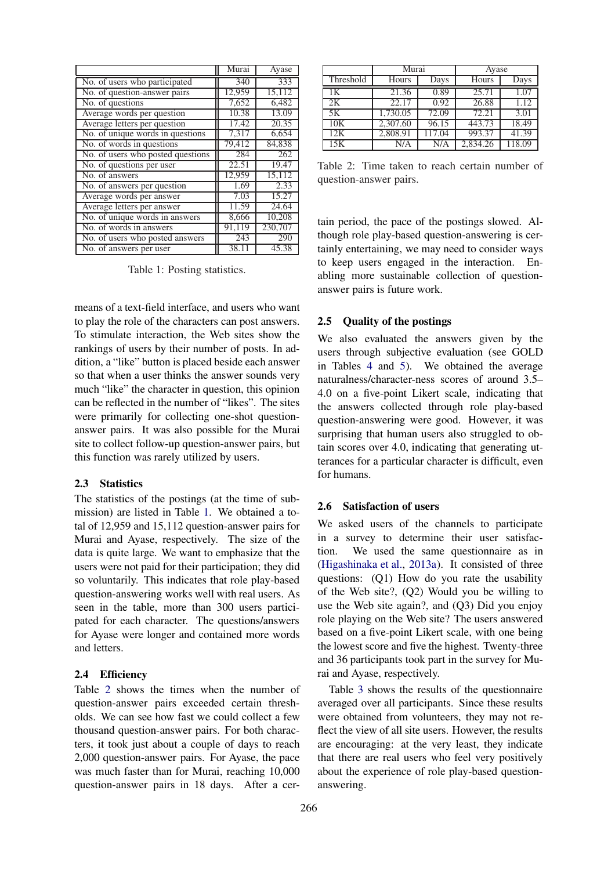|                                   | Murai  | Ayase            |
|-----------------------------------|--------|------------------|
| No. of users who participated     | 340    | 333              |
| No. of question-answer pairs      | 12,959 | 15,112           |
| No. of questions                  | 7,652  | 6,482            |
| Average words per question        | 10.38  | 13.09            |
| Average letters per question      | 17.42  | 20.35            |
| No. of unique words in questions  | 7,317  | 6.654            |
| No. of words in questions         | 79,412 | 84,838           |
| No. of users who posted questions | 284    | $\overline{262}$ |
| No. of questions per user         | 22.51  | 19.47            |
| No. of answers                    | 12,959 | 15,112           |
| No. of answers per question       | 1.69   | 2.33             |
| Average words per answer          | 7.03   | 15.27            |
| Average letters per answer        | 11.59  | 24.64            |
| No. of unique words in answers    | 8,666  | 10,208           |
| No. of words in answers           | 91,119 | 230,707          |
| No. of users who posted answers   | 243    | 290              |
| No. of answers per user           | 38.11  | 45.38            |

<span id="page-2-0"></span>Table 1: Posting statistics.

means of a text-field interface, and users who want to play the role of the characters can post answers. To stimulate interaction, the Web sites show the rankings of users by their number of posts. In addition, a "like" button is placed beside each answer so that when a user thinks the answer sounds very much "like" the character in question, this opinion can be reflected in the number of "likes". The sites were primarily for collecting one-shot questionanswer pairs. It was also possible for the Murai site to collect follow-up question-answer pairs, but this function was rarely utilized by users.

#### 2.3 Statistics

The statistics of the postings (at the time of submission) are listed in Table [1.](#page-2-0) We obtained a total of 12,959 and 15,112 question-answer pairs for Murai and Ayase, respectively. The size of the data is quite large. We want to emphasize that the users were not paid for their participation; they did so voluntarily. This indicates that role play-based question-answering works well with real users. As seen in the table, more than 300 users participated for each character. The questions/answers for Ayase were longer and contained more words and letters.

#### 2.4 Efficiency

Table [2](#page-2-1) shows the times when the number of question-answer pairs exceeded certain thresholds. We can see how fast we could collect a few thousand question-answer pairs. For both characters, it took just about a couple of days to reach 2,000 question-answer pairs. For Ayase, the pace was much faster than for Murai, reaching 10,000 question-answer pairs in 18 days. After a cer-

|           | Murai    |       | Ayase    |       |  |
|-----------|----------|-------|----------|-------|--|
| Threshold | Hours    | Days  | Hours    | Days  |  |
| 1Κ        | 21.36    | 0.89  | 25.71    | 1.07  |  |
| 2K        | 22.17    | 0.92  | 26.88    | 1.12  |  |
| 5K        | 1,730.05 | 72.09 | 72.21    | 3.01  |  |
| 10K       | 2,307.60 | 96.15 | 443.73   | 18.49 |  |
| 12K       | 2,808.91 | 17.04 | 993.37   | 41.39 |  |
| 15K       | N/A      | N/A   | 2,834.26 | 18.09 |  |

<span id="page-2-1"></span>Table 2: Time taken to reach certain number of question-answer pairs.

tain period, the pace of the postings slowed. Although role play-based question-answering is certainly entertaining, we may need to consider ways to keep users engaged in the interaction. Enabling more sustainable collection of questionanswer pairs is future work.

#### 2.5 Quality of the postings

We also evaluated the answers given by the users through subjective evaluation (see GOLD in Tables [4](#page-6-0) and [5\)](#page-6-1). We obtained the average naturalness/character-ness scores of around 3.5– 4.0 on a five-point Likert scale, indicating that the answers collected through role play-based question-answering were good. However, it was surprising that human users also struggled to obtain scores over 4.0, indicating that generating utterances for a particular character is difficult, even for humans.

#### 2.6 Satisfaction of users

We asked users of the channels to participate in a survey to determine their user satisfaction. We used the same questionnaire as in [\(Higashinaka et al.](#page-8-8), [2013a](#page-8-8)). It consisted of three questions: (Q1) How do you rate the usability of the Web site?, (Q2) Would you be willing to use the Web site again?, and (Q3) Did you enjoy role playing on the Web site? The users answered based on a five-point Likert scale, with one being the lowest score and five the highest. Twenty-three and 36 participants took part in the survey for Murai and Ayase, respectively.

Table [3](#page-3-0) shows the results of the questionnaire averaged over all participants. Since these results were obtained from volunteers, they may not reflect the view of all site users. However, the results are encouraging: at the very least, they indicate that there are real users who feel very positively about the experience of role play-based questionanswering.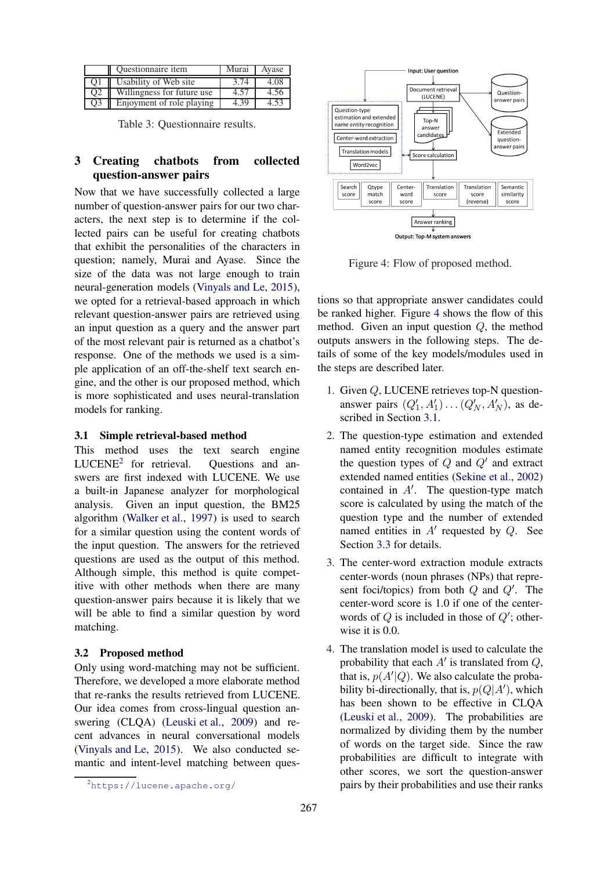|                | Questionnaire item         | Murai | Avase |
|----------------|----------------------------|-------|-------|
|                | Usability of Web site      | 3.74  | 4.08  |
| O2             | Willingness for future use | 4.57  | 4.56  |
| O <sub>3</sub> | Enjoyment of role playing  | 4.39  | 4.53  |

<span id="page-3-0"></span>Table 3: Questionnaire results.

## 3 Creating chatbots from collected question-answer pairs

Now that we have successfully collected a large number of question-answer pairs for our two characters, the next step is to determine if the collected pairs can be useful for creating chatbots that exhibit the personalities of the characters in question; namely, Murai and Ayase. Since the size of the data was not large enough to train neural-generation models [\(Vinyals and Le](#page-8-10), [2015\)](#page-8-10), we opted for a retrieval-based approach in which relevant question-answer pairs are retrieved using an input question as a query and the answer part of the most relevant pair is returned as a chatbot's response. One of the methods we used is a simple application of an off-the-shelf text search engine, and the other is our proposed method, which is more sophisticated and uses neural-translation models for ranking.

### <span id="page-3-3"></span>3.1 Simple retrieval-based method

This method uses the text search engine  $LUCENE<sup>2</sup>$  $LUCENE<sup>2</sup>$  $LUCENE<sup>2</sup>$  for retrieval. Ouestions and answers are first indexed with LUCENE. We use a built-in Japanese analyzer for morphological analysis. Given an input question, the BM25 algorithm [\(Walker et al.](#page-8-11), [1997](#page-8-11)) is used to search for a similar question using the content words of the input question. The answers for the retrieved questions are used as the output of this method. Although simple, this method is quite competitive with other methods when there are many question-answer pairs because it is likely that we will be able to find a similar question by word matching.

### <span id="page-3-4"></span>3.2 Proposed method

Only using word-matching may not be sufficient. Therefore, we developed a more elaborate method that re-ranks the results retrieved from LUCENE. Our idea comes from cross-lingual question answering (CLQA) [\(Leuski et al.](#page-8-6), [2009](#page-8-6)) and recent advances in neural conversational models [\(Vinyals and Le](#page-8-10), [2015\)](#page-8-10). We also conducted semantic and intent-level matching between ques-



<span id="page-3-2"></span>Figure 4: Flow of proposed method.

tions so that appropriate answer candidates could be ranked higher. Figure [4](#page-3-2) shows the flow of this method. Given an input question Q, the method outputs answers in the following steps. The details of some of the key models/modules used in the steps are described later.

- 1. Given Q, LUCENE retrieves top-N questionanswer pairs  $(Q'_1, A'_1) \dots (Q'_N, A'_N)$ , as described in Section [3.1.](#page-3-3)
- 2. The question-type estimation and extended named entity recognition modules estimate the question types of  $Q$  and  $Q'$  and extract extended named entities [\(Sekine et al.,](#page-8-12) [2002\)](#page-8-12) contained in  $A'$ . The question-type match score is calculated by using the match of the question type and the number of extended named entities in  $A'$  requested by  $Q$ . See Section [3.3](#page-4-0) for details.
- 3. The center-word extraction module extracts center-words (noun phrases (NPs) that represent foci/topics) from both  $Q$  and  $Q'$ . The center-word score is 1.0 if one of the centerwords of  $Q$  is included in those of  $Q'$ ; otherwise it is 0.0.
- 4. The translation model is used to calculate the probability that each  $A'$  is translated from  $Q$ , that is,  $p(A'|Q)$ . We also calculate the probability bi-directionally, that is,  $p(Q|A')$ , which has been shown to be effective in CLQA [\(Leuski et al.](#page-8-6), [2009](#page-8-6)). The probabilities are normalized by dividing them by the number of words on the target side. Since the raw probabilities are difficult to integrate with other scores, we sort the question-answer pairs by their probabilities and use their ranks

<span id="page-3-1"></span><sup>2</sup><https://lucene.apache.org/>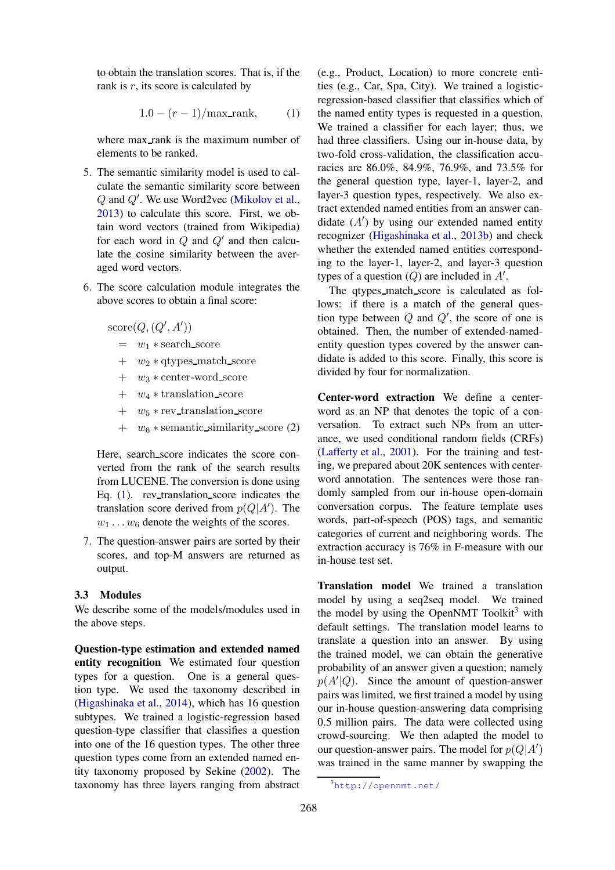to obtain the translation scores. That is, if the rank is  $r$ , its score is calculated by

<span id="page-4-1"></span>
$$
1.0 - (r - 1)/\text{max\_rank}, \qquad (1)
$$

where max\_rank is the maximum number of elements to be ranked.

- 5. The semantic similarity model is used to calculate the semantic similarity score between Q and Q′ . We use Word2vec [\(Mikolov et al.,](#page-8-13) [2013](#page-8-13)) to calculate this score. First, we obtain word vectors (trained from Wikipedia) for each word in  $Q$  and  $Q'$  and then calculate the cosine similarity between the averaged word vectors.
- 6. The score calculation module integrates the above scores to obtain a final score:

 $score(Q, (Q', A'))$ 

- $= w_1 * \text{search\_score}$
- $+$  w<sub>2</sub>  $*$  qtypes\_match\_score
- + w3 ∗ center-word score
- $+ w_4 *$  translation\_score
- $+$   $w_5 * \text{rev\_translation\_score}$
- $+ w_6 *$  semantic\_similarity\_score (2)

Here, search score indicates the score converted from the rank of the search results from LUCENE. The conversion is done using Eq.  $(1)$ . rev\_translation\_score indicates the translation score derived from  $p(Q|A')$ . The  $w_1 \ldots w_6$  denote the weights of the scores.

7. The question-answer pairs are sorted by their scores, and top-M answers are returned as output.

### <span id="page-4-0"></span>3.3 Modules

We describe some of the models/modules used in the above steps.

Question-type estimation and extended named entity recognition We estimated four question types for a question. One is a general question type. We used the taxonomy described in [\(Higashinaka et al.](#page-8-14), [2014\)](#page-8-14), which has 16 question subtypes. We trained a logistic-regression based question-type classifier that classifies a question into one of the 16 question types. The other three question types come from an extended named entity taxonomy proposed by Sekine [\(2002](#page-8-12)). The taxonomy has three layers ranging from abstract (e.g., Product, Location) to more concrete entities (e.g., Car, Spa, City). We trained a logisticregression-based classifier that classifies which of the named entity types is requested in a question. We trained a classifier for each layer; thus, we had three classifiers. Using our in-house data, by two-fold cross-validation, the classification accuracies are 86.0%, 84.9%, 76.9%, and 73.5% for the general question type, layer-1, layer-2, and layer-3 question types, respectively. We also extract extended named entities from an answer candidate  $(A')$  by using our extended named entity recognizer [\(Higashinaka et al.](#page-8-15), [2013b](#page-8-15)) and check whether the extended named entities corresponding to the layer-1, layer-2, and layer-3 question types of a question  $(Q)$  are included in  $A'$ .

The gtypes\_match\_score is calculated as follows: if there is a match of the general question type between  $Q$  and  $Q'$ , the score of one is obtained. Then, the number of extended-namedentity question types covered by the answer candidate is added to this score. Finally, this score is divided by four for normalization.

Center-word extraction We define a centerword as an NP that denotes the topic of a conversation. To extract such NPs from an utterance, we used conditional random fields (CRFs) [\(Lafferty et al.](#page-8-16), [2001\)](#page-8-16). For the training and testing, we prepared about 20K sentences with centerword annotation. The sentences were those randomly sampled from our in-house open-domain conversation corpus. The feature template uses words, part-of-speech (POS) tags, and semantic categories of current and neighboring words. The extraction accuracy is 76% in F-measure with our in-house test set.

Translation model We trained a translation model by using a seq2seq model. We trained the model by using the OpenNMT Toolkit<sup>[3](#page-4-2)</sup> with default settings. The translation model learns to translate a question into an answer. By using the trained model, we can obtain the generative probability of an answer given a question; namely  $p(A'|Q)$ . Since the amount of question-answer pairs was limited, we first trained a model by using our in-house question-answering data comprising 0.5 million pairs. The data were collected using crowd-sourcing. We then adapted the model to our question-answer pairs. The model for  $p(Q|A')$ was trained in the same manner by swapping the

<span id="page-4-2"></span><sup>3</sup><http://opennmt.net/>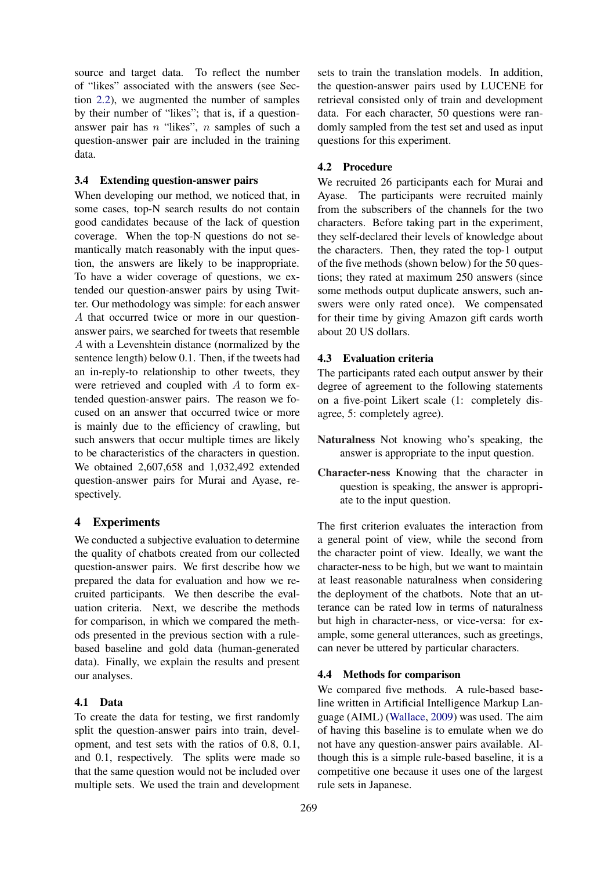source and target data. To reflect the number of "likes" associated with the answers (see Section [2.2\)](#page-1-4), we augmented the number of samples by their number of "likes"; that is, if a questionanswer pair has n "likes", n samples of such a question-answer pair are included in the training data.

### <span id="page-5-0"></span>3.4 Extending question-answer pairs

When developing our method, we noticed that, in some cases, top-N search results do not contain good candidates because of the lack of question coverage. When the top-N questions do not semantically match reasonably with the input question, the answers are likely to be inappropriate. To have a wider coverage of questions, we extended our question-answer pairs by using Twitter. Our methodology was simple: for each answer A that occurred twice or more in our questionanswer pairs, we searched for tweets that resemble A with a Levenshtein distance (normalized by the sentence length) below 0.1. Then, if the tweets had an in-reply-to relationship to other tweets, they were retrieved and coupled with A to form extended question-answer pairs. The reason we focused on an answer that occurred twice or more is mainly due to the efficiency of crawling, but such answers that occur multiple times are likely to be characteristics of the characters in question. We obtained 2,607,658 and 1,032,492 extended question-answer pairs for Murai and Ayase, respectively.

### 4 Experiments

We conducted a subjective evaluation to determine the quality of chatbots created from our collected question-answer pairs. We first describe how we prepared the data for evaluation and how we recruited participants. We then describe the evaluation criteria. Next, we describe the methods for comparison, in which we compared the methods presented in the previous section with a rulebased baseline and gold data (human-generated data). Finally, we explain the results and present our analyses.

### 4.1 Data

To create the data for testing, we first randomly split the question-answer pairs into train, development, and test sets with the ratios of 0.8, 0.1, and 0.1, respectively. The splits were made so that the same question would not be included over multiple sets. We used the train and development sets to train the translation models. In addition, the question-answer pairs used by LUCENE for retrieval consisted only of train and development data. For each character, 50 questions were randomly sampled from the test set and used as input questions for this experiment.

### 4.2 Procedure

We recruited 26 participants each for Murai and Ayase. The participants were recruited mainly from the subscribers of the channels for the two characters. Before taking part in the experiment, they self-declared their levels of knowledge about the characters. Then, they rated the top-1 output of the five methods (shown below) for the 50 questions; they rated at maximum 250 answers (since some methods output duplicate answers, such answers were only rated once). We compensated for their time by giving Amazon gift cards worth about 20 US dollars.

### 4.3 Evaluation criteria

The participants rated each output answer by their degree of agreement to the following statements on a five-point Likert scale (1: completely disagree, 5: completely agree).

- Naturalness Not knowing who's speaking, the answer is appropriate to the input question.
- Character-ness Knowing that the character in question is speaking, the answer is appropriate to the input question.

The first criterion evaluates the interaction from a general point of view, while the second from the character point of view. Ideally, we want the character-ness to be high, but we want to maintain at least reasonable naturalness when considering the deployment of the chatbots. Note that an utterance can be rated low in terms of naturalness but high in character-ness, or vice-versa: for example, some general utterances, such as greetings, can never be uttered by particular characters.

#### 4.4 Methods for comparison

We compared five methods. A rule-based baseline written in Artificial Intelligence Markup Language (AIML) [\(Wallace](#page-8-17), [2009](#page-8-17)) was used. The aim of having this baseline is to emulate when we do not have any question-answer pairs available. Although this is a simple rule-based baseline, it is a competitive one because it uses one of the largest rule sets in Japanese.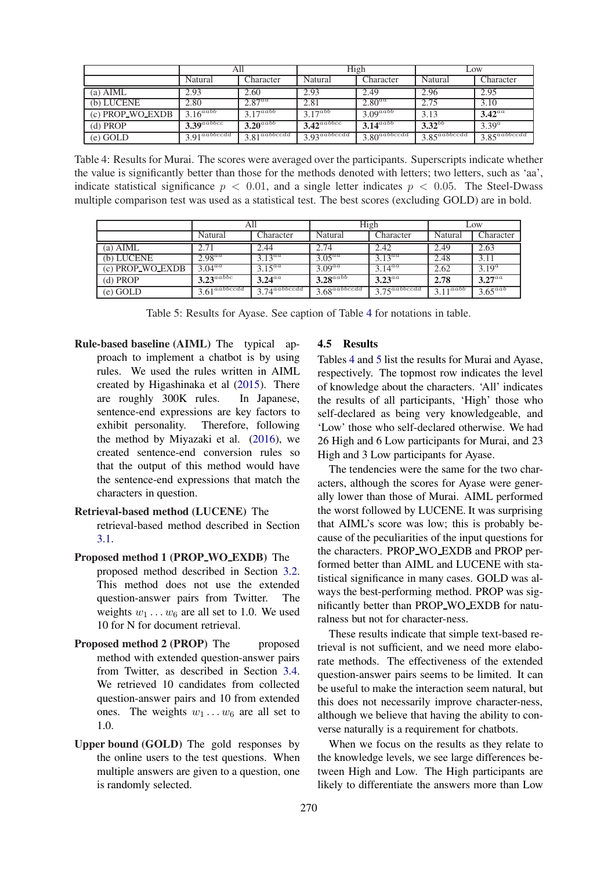|                   | All                        |                            | High                       |                            | LOW.                       |                                   |
|-------------------|----------------------------|----------------------------|----------------------------|----------------------------|----------------------------|-----------------------------------|
|                   | Natural                    | Character                  | Natural                    | Character                  | Natural                    | Character                         |
| (a) $\Lambda$ IML | 2.93                       | 2.60                       | 2.93                       | 2.49                       | 2.96                       | 2.95                              |
| (b) LUCENE        | 2.80                       | $2.87^{aa}$                | 2.81                       | $2.80^{aa}$                | 2.75                       | 3.10                              |
| (c) PROP_WO_EXDB  | $3.16^{aabb}$              | $3.17^{aabb}$              | $3.17^{abb}$               | $3.09^{aabb}$              | 3.13                       | $3.42^{aa}$                       |
| $(d)$ PROP        | $3.39$ <sup>aabbcc</sup>   | $3.20^{aabb}$              | $3.42^{aabbcc}$            | $3.14^{aabb}$              | $3.32^{bb}$                | $3.39^{a}$                        |
| $(e)$ GOLD        | $3.91$ <sup>aabbccdd</sup> | $3.81$ <sup>aabbccdd</sup> | $3.93$ <sup>aabbccdd</sup> | $3.80$ <sup>aabbccdd</sup> | $3.85$ <sup>aabbccdd</sup> | $3.85$ <sup><i>a</i>abbccdd</sup> |

<span id="page-6-0"></span>Table 4: Results for Murai. The scores were averaged over the participants. Superscripts indicate whether the value is significantly better than those for the methods denoted with letters; two letters, such as 'aa', indicate statistical significance  $p < 0.01$ , and a single letter indicates  $p < 0.05$ . The Steel-Dwass multiple comparison test was used as a statistical test. The best scores (excluding GOLD) are in bold.

|                  | All                                |                            | High                              |                                   | LOW.          |              |
|------------------|------------------------------------|----------------------------|-----------------------------------|-----------------------------------|---------------|--------------|
|                  | Natural                            | Character                  | Natural                           | Character                         | Natural       | Character    |
| $(a)$ AIML       | 2.71                               | 2.44                       | 2.74                              | 2.42                              | 2.49          | 2.63         |
| (b) LUCENE       | $2.98^{aa}$                        | $3.13^{aa}$                | $3.05^{aa}$                       | $3.13^{aa}$                       | 2.48          | 3.11         |
| (c) PROP_WO_EXDB | $3.04^{\overline{a} \overline{a}}$ | $3.15^{\overline{aa}}$     | $3.09^{aa}$                       | $3.14^{aa}$                       | 2.62          | $3.19^a$     |
| $(d)$ PROP       | $3.23^{aabbc}$                     | $3.24^{aa}$                | $3.28^{aabb}$                     | $3.23^{aa}$                       | 2.78          | $3.27^{aa}$  |
| $(e)$ GOLD       | $3.61$ <sup>aabbccdd</sup>         | $3.74$ <sup>aabbccdd</sup> | $3.68$ <sup><i>aabbccdd</i></sup> | $3.75$ <sup><i>a</i>abbccdd</sup> | $3.11^{aabb}$ | $3.65^{aab}$ |

<span id="page-6-1"></span>Table 5: Results for Ayase. See caption of Table [4](#page-6-0) for notations in table.

Rule-based baseline (AIML) The typical approach to implement a chatbot is by using rules. We used the rules written in AIML created by Higashinaka et al [\(2015](#page-8-18)). There are roughly 300K rules. In Japanese, sentence-end expressions are key factors to exhibit personality. Therefore, following the method by Miyazaki et al. [\(2016](#page-8-19)), we created sentence-end conversion rules so that the output of this method would have the sentence-end expressions that match the characters in question.

### Retrieval-based method (LUCENE) The

retrieval-based method described in Section [3.1.](#page-3-3)

#### Proposed method 1 (PROP WO EXDB) The

- proposed method described in Section [3.2.](#page-3-4) This method does not use the extended question-answer pairs from Twitter. The weights  $w_1 \ldots w_6$  are all set to 1.0. We used 10 for N for document retrieval.
- Proposed method 2 (PROP) The proposed method with extended question-answer pairs from Twitter, as described in Section [3.4.](#page-5-0) We retrieved 10 candidates from collected question-answer pairs and 10 from extended ones. The weights  $w_1 \ldots w_6$  are all set to 1.0.
- Upper bound (GOLD) The gold responses by the online users to the test questions. When multiple answers are given to a question, one is randomly selected.

#### 4.5 Results

Tables [4](#page-6-0) and [5](#page-6-1) list the results for Murai and Ayase, respectively. The topmost row indicates the level of knowledge about the characters. 'All' indicates the results of all participants, 'High' those who self-declared as being very knowledgeable, and 'Low' those who self-declared otherwise. We had 26 High and 6 Low participants for Murai, and 23 High and 3 Low participants for Ayase.

The tendencies were the same for the two characters, although the scores for Ayase were generally lower than those of Murai. AIML performed the worst followed by LUCENE. It was surprising that AIML's score was low; this is probably because of the peculiarities of the input questions for the characters. PROP WO EXDB and PROP performed better than AIML and LUCENE with statistical significance in many cases. GOLD was always the best-performing method. PROP was significantly better than PROP WO EXDB for naturalness but not for character-ness.

These results indicate that simple text-based retrieval is not sufficient, and we need more elaborate methods. The effectiveness of the extended question-answer pairs seems to be limited. It can be useful to make the interaction seem natural, but this does not necessarily improve character-ness, although we believe that having the ability to converse naturally is a requirement for chatbots.

When we focus on the results as they relate to the knowledge levels, we see large differences between High and Low. The High participants are likely to differentiate the answers more than Low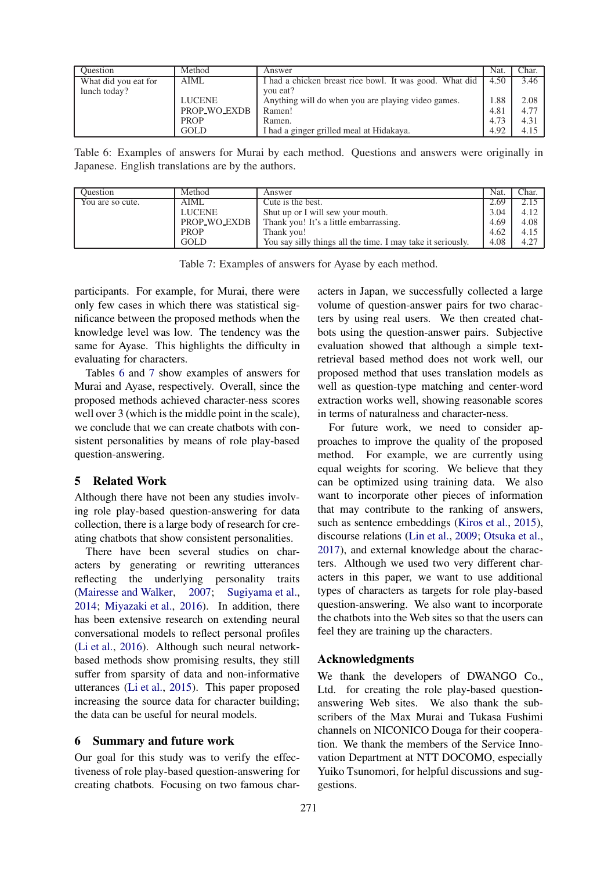| Ouestion             | Method        | Answer                                                  | Nat. | Char. |
|----------------------|---------------|---------------------------------------------------------|------|-------|
| What did you eat for | AIML          | I had a chicken breast rice bowl. It was good. What did | 4.50 | 3.46  |
| lunch today?         |               | you eat?                                                |      |       |
|                      | <b>LUCENE</b> | Anything will do when you are playing video games.      | 1.88 | 2.08  |
|                      | PROP WO EXDB  | Ramen!                                                  | 4.81 | 4.77  |
|                      | <b>PROP</b>   | Ramen.                                                  | 4.73 | 4.31  |
|                      | <b>GOLD</b>   | I had a ginger grilled meal at Hidakaya.                | 4.92 | 4.15  |

<span id="page-7-0"></span>Table 6: Examples of answers for Murai by each method. Questions and answers were originally in Japanese. English translations are by the authors.

| <b>Ouestion</b>  | Method        | Answer                                                      | Nat. | Char. |
|------------------|---------------|-------------------------------------------------------------|------|-------|
| You are so cute. | AIML          | Cute is the best.                                           | 2.69 | 2.15  |
|                  | <b>LUCENE</b> | Shut up or I will sew your mouth.                           | 3.04 | 4.12  |
|                  | PROP_WO_EXDB  | Thank you! It's a little embarrassing.                      | 4.69 | 4.08  |
|                  | <b>PROP</b>   | Thank you!                                                  | 4.62 | 4.15  |
|                  | <b>GOLD</b>   | You say silly things all the time. I may take it seriously. | 4.08 | 4.27  |

<span id="page-7-1"></span>Table 7: Examples of answers for Ayase by each method.

participants. For example, for Murai, there were only few cases in which there was statistical significance between the proposed methods when the knowledge level was low. The tendency was the same for Ayase. This highlights the difficulty in evaluating for characters.

Tables [6](#page-7-0) and [7](#page-7-1) show examples of answers for Murai and Ayase, respectively. Overall, since the proposed methods achieved character-ness scores well over 3 (which is the middle point in the scale), we conclude that we can create chatbots with consistent personalities by means of role play-based question-answering.

## 5 Related Work

Although there have not been any studies involving role play-based question-answering for data collection, there is a large body of research for creating chatbots that show consistent personalities.

There have been several studies on characters by generating or rewriting utterances reflecting the underlying personality traits [\(Mairesse and Walker](#page-8-20), [2007](#page-8-20); [Sugiyama et al.,](#page-8-21) [2014;](#page-8-21) [Miyazaki et al.,](#page-8-19) [2016\)](#page-8-19). In addition, there has been extensive research on extending neural conversational models to reflect personal profiles [\(Li et al.](#page-8-0), [2016\)](#page-8-0). Although such neural networkbased methods show promising results, they still suffer from sparsity of data and non-informative utterances [\(Li et al.](#page-8-22), [2015\)](#page-8-22). This paper proposed increasing the source data for character building; the data can be useful for neural models.

## 6 Summary and future work

Our goal for this study was to verify the effectiveness of role play-based question-answering for creating chatbots. Focusing on two famous characters in Japan, we successfully collected a large volume of question-answer pairs for two characters by using real users. We then created chatbots using the question-answer pairs. Subjective evaluation showed that although a simple textretrieval based method does not work well, our proposed method that uses translation models as well as question-type matching and center-word extraction works well, showing reasonable scores in terms of naturalness and character-ness.

For future work, we need to consider approaches to improve the quality of the proposed method. For example, we are currently using equal weights for scoring. We believe that they can be optimized using training data. We also want to incorporate other pieces of information that may contribute to the ranking of answers, such as sentence embeddings [\(Kiros et al.](#page-8-23), [2015](#page-8-23)), discourse relations [\(Lin et al.,](#page-8-24) [2009](#page-8-24); [Otsuka et al.,](#page-8-25) [2017](#page-8-25)), and external knowledge about the characters. Although we used two very different characters in this paper, we want to use additional types of characters as targets for role play-based question-answering. We also want to incorporate the chatbots into the Web sites so that the users can feel they are training up the characters.

## Acknowledgments

We thank the developers of DWANGO Co., Ltd. for creating the role play-based questionanswering Web sites. We also thank the subscribers of the Max Murai and Tukasa Fushimi channels on NICONICO Douga for their cooperation. We thank the members of the Service Innovation Department at NTT DOCOMO, especially Yuiko Tsunomori, for helpful discussions and suggestions.